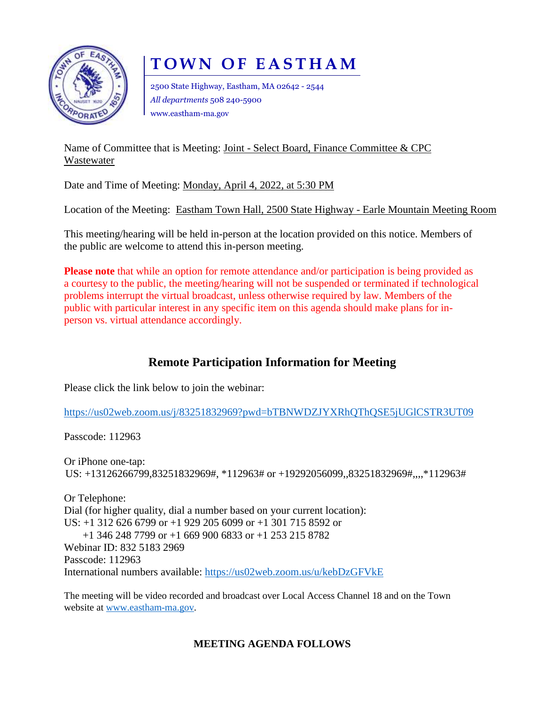

# **T O W N O F E A S T H A M**

2500 State Highway, Eastham, MA 02642 - 2544 *All departments* 508 240-5900 www.eastham-ma.gov

Name of Committee that is Meeting: Joint - Select Board, Finance Committee & CPC Wastewater

Date and Time of Meeting: Monday, April 4, 2022, at 5:30 PM

Location of the Meeting: Eastham Town Hall, 2500 State Highway - Earle Mountain Meeting Room

This meeting/hearing will be held in-person at the location provided on this notice. Members of the public are welcome to attend this in-person meeting.

**Please note** that while an option for remote attendance and/or participation is being provided as a courtesy to the public, the meeting/hearing will not be suspended or terminated if technological problems interrupt the virtual broadcast, unless otherwise required by law. Members of the public with particular interest in any specific item on this agenda should make plans for inperson vs. virtual attendance accordingly.

# **Remote Participation Information for Meeting**

Please click the link below to join the webinar:

<https://us02web.zoom.us/j/83251832969?pwd=bTBNWDZJYXRhQThQSE5jUGlCSTR3UT09>

Passcode: 112963

Or iPhone one-tap: US: +13126266799,83251832969#, \*112963# or +19292056099,,83251832969#,,,,\*112963#

Or Telephone: Dial (for higher quality, dial a number based on your current location): US: +1 312 626 6799 or +1 929 205 6099 or +1 301 715 8592 or +1 346 248 7799 or +1 669 900 6833 or +1 253 215 8782 Webinar ID: 832 5183 2969 Passcode: 112963 International numbers available:<https://us02web.zoom.us/u/kebDzGFVkE>

The meeting will be video recorded and broadcast over Local Access Channel 18 and on the Town website at [www.eastham-ma.gov.](http://www.eastham-ma.gov/)

# **MEETING AGENDA FOLLOWS**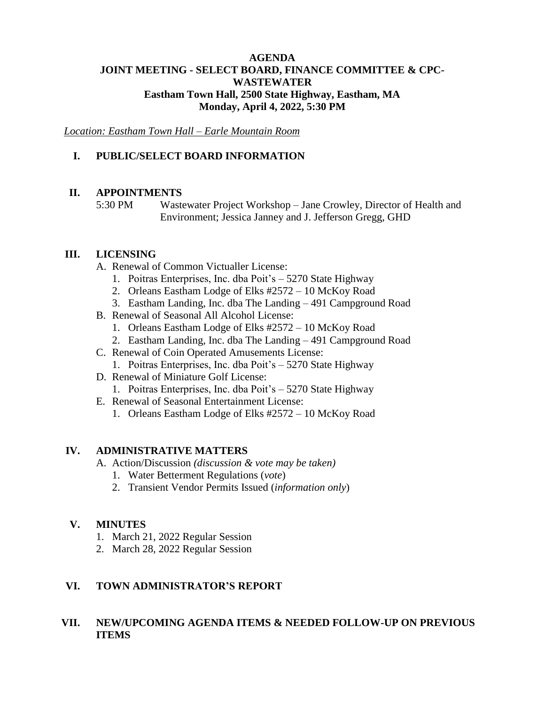#### **AGENDA JOINT MEETING - SELECT BOARD, FINANCE COMMITTEE & CPC-WASTEWATER Eastham Town Hall, 2500 State Highway, Eastham, MA Monday, April 4, 2022, 5:30 PM**

*Location: Eastham Town Hall – Earle Mountain Room*

## **I. PUBLIC/SELECT BOARD INFORMATION**

#### **II. APPOINTMENTS**

5:30 PM Wastewater Project Workshop – Jane Crowley, Director of Health and Environment; Jessica Janney and J. Jefferson Gregg, GHD

#### **III. LICENSING**

- A. Renewal of Common Victualler License:
	- 1. Poitras Enterprises, Inc. dba Poit's 5270 State Highway
	- 2. Orleans Eastham Lodge of Elks #2572 10 McKoy Road
	- 3. Eastham Landing, Inc. dba The Landing 491 Campground Road
- B. Renewal of Seasonal All Alcohol License:
	- 1. Orleans Eastham Lodge of Elks #2572 10 McKoy Road
	- 2. Eastham Landing, Inc. dba The Landing 491 Campground Road
- C. Renewal of Coin Operated Amusements License:
	- 1. Poitras Enterprises, Inc. dba Poit's 5270 State Highway
- D. Renewal of Miniature Golf License:
	- 1. Poitras Enterprises, Inc. dba Poit's 5270 State Highway
- E. Renewal of Seasonal Entertainment License:
	- 1. Orleans Eastham Lodge of Elks #2572 10 McKoy Road

#### **IV. ADMINISTRATIVE MATTERS**

- A. Action/Discussion *(discussion & vote may be taken)*
	- 1. Water Betterment Regulations (*vote*)
	- 2. Transient Vendor Permits Issued (*information only*)

#### **V. MINUTES**

- 1. March 21, 2022 Regular Session
- 2. March 28, 2022 Regular Session

#### **VI. TOWN ADMINISTRATOR'S REPORT**

### **VII. NEW/UPCOMING AGENDA ITEMS & NEEDED FOLLOW-UP ON PREVIOUS ITEMS**